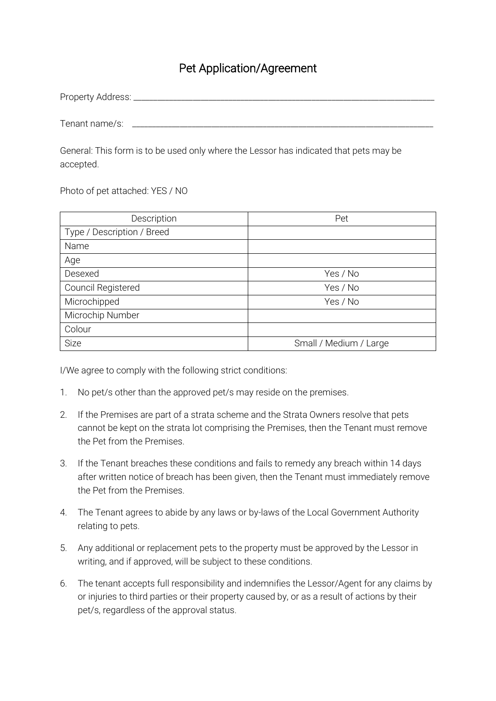## Pet Application/Agreement

| Property Address: |  |  |  |
|-------------------|--|--|--|
|                   |  |  |  |
|                   |  |  |  |

Tenant name/s:

General: This form is to be used only where the Lessor has indicated that pets may be accepted.

Photo of pet attached: YES / NO

| Description                | Pet                    |  |  |
|----------------------------|------------------------|--|--|
| Type / Description / Breed |                        |  |  |
| Name                       |                        |  |  |
| Age                        |                        |  |  |
| Desexed                    | Yes / No               |  |  |
| Council Registered         | Yes / No               |  |  |
| Microchipped               | Yes / No               |  |  |
| Microchip Number           |                        |  |  |
| Colour                     |                        |  |  |
| <b>Size</b>                | Small / Medium / Large |  |  |

I/We agree to comply with the following strict conditions:

- 1. No pet/s other than the approved pet/s may reside on the premises.
- 2. If the Premises are part of a strata scheme and the Strata Owners resolve that pets cannot be kept on the strata lot comprising the Premises, then the Tenant must remove the Pet from the Premises.
- 3. If the Tenant breaches these conditions and fails to remedy any breach within 14 days after written notice of breach has been given, then the Tenant must immediately remove the Pet from the Premises.
- 4. The Tenant agrees to abide by any laws or by-laws of the Local Government Authority relating to pets.
- 5. Any additional or replacement pets to the property must be approved by the Lessor in writing, and if approved, will be subject to these conditions.
- 6. The tenant accepts full responsibility and indemnifies the Lessor/Agent for any claims by or injuries to third parties or their property caused by, or as a result of actions by their pet/s, regardless of the approval status.